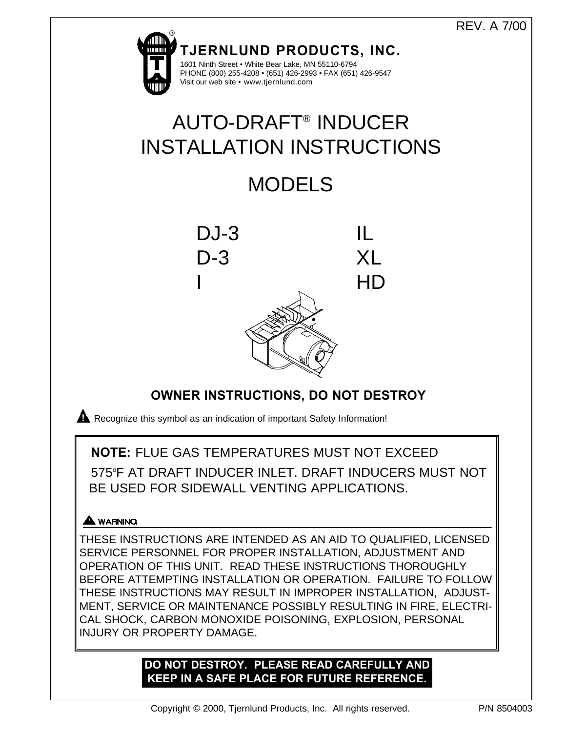# REV. A 7/00



# **OWNER INSTRUCTIONS, DO NOT DESTROY**

**Recognize this symbol as an indication of important Safety Information!** 

# **NOTE:** FLUE GAS TEMPERATURES MUST NOT EXCEED

575°F AT DRAFT INDUCER INLET. DRAFT INDUCERS MUST NOT BE USED FOR SIDEWALL VENTING APPLICATIONS.

# A WARNING

THESE INSTRUCTIONS ARE INTENDED AS AN AID TO QUALIFIED, LICENSED SERVICE PERSONNEL FOR PROPER INSTALLATION, ADJUSTMENT AND OPERATION OF THIS UNIT. READ THESE INSTRUCTIONS THOROUGHLY BEFORE ATTEMPTING INSTALLATION OR OPERATION. FAILURE TO FOLLOW THESE INSTRUCTIONS MAY RESULT IN IMPROPER INSTALLATION, ADJUST-MENT, SERVICE OR MAINTENANCE POSSIBLY RESULTING IN FIRE, ELECTRI-CAL SHOCK, CARBON MONOXIDE POISONING, EXPLOSION, PERSONAL INJURY OR PROPERTY DAMAGE.

# **DO NOT DESTROY. PLEASE READ CAREFULLY AND KEEP IN A SAFE PLACE FOR FUTURE REFERENCE.**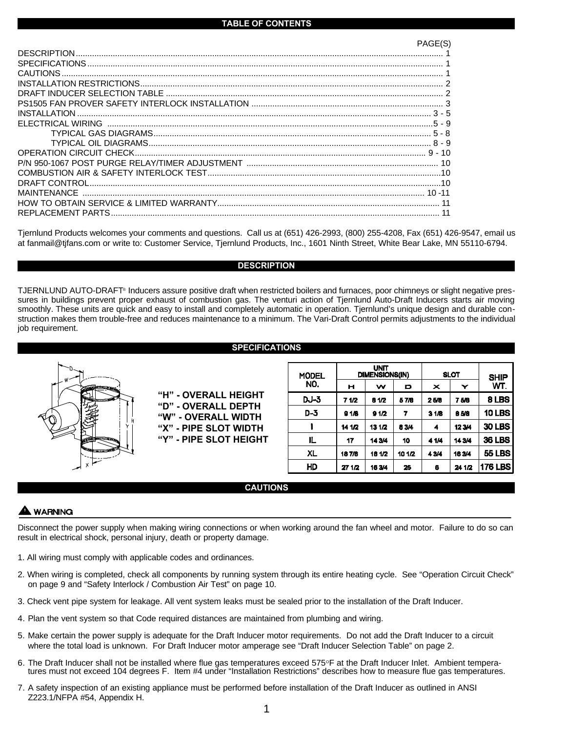|                    | PAGE(S) |
|--------------------|---------|
|                    |         |
|                    |         |
|                    |         |
|                    |         |
|                    |         |
|                    |         |
|                    |         |
|                    |         |
|                    |         |
|                    |         |
|                    |         |
| P/N                |         |
|                    |         |
|                    |         |
|                    |         |
|                    |         |
| REPLACEMENT PARTS. |         |

Tjernlund Products welcomes your comments and questions. Call us at (651) 426-2993, (800) 255-4208, Fax (651) 426-9547, email us at fanmail@tjfans.com or write to: Customer Service, Tjernlund Products, Inc., 1601 Ninth Street, White Bear Lake, MN 55110-6794.

### **DESCRIPTION**

TJERNLUND AUTO-DRAFT® Inducers assure positive draft when restricted boilers and furnaces, poor chimneys or slight negative pressures in buildings prevent proper exhaust of combustion gas. The venturi action of Tjernlund Auto-Draft Inducers starts air moving smoothly. These units are quick and easy to install and completely automatic in operation. Tjernlund's unique design and durable construction makes them trouble-free and reduces maintenance to a minimum. The Vari-Draft Control permits adjustments to the individual job requirement.

**SPECIFICATIONS**

| <b>Santaneon</b> |  |
|------------------|--|
| Н                |  |
|                  |  |
| ستناقذ           |  |
| х                |  |

**"H" - OVERALL HEIGHT "D" - OVERALL DEPTH "W" - OVERALL WIDTH "X" - PIPE SLOT WIDTH "Y" - PIPE SLOT HEIGHT**

| <b>MODEL</b> |        | <b>UNIT</b><br><b>DIMENSIONS(IN)</b> |        | <b>SLOT</b> | <b>SHIP</b> |                |  |
|--------------|--------|--------------------------------------|--------|-------------|-------------|----------------|--|
| NO.          | н      | w                                    | D      | ×           | WT.         |                |  |
| <b>DJ-3</b>  | 71/2   | 8 1/2                                | 57/8   | 25/8        | <b>750</b>  | 8 LBS          |  |
| $D-3$        | 91B    | 91/2                                 | 7      | 31B         | 8 5/8       | <b>10 LBS</b>  |  |
|              | 141/2  | 13 1/2                               | 83/4   | 4           | 12344       | <b>30 LBS</b>  |  |
| IL.          | 17     | 143/4                                | 10     | 4 1/4       | 14 3/4      | <b>36 LBS</b>  |  |
| XL           | 187/8  | 18 1/2                               | 10 1/2 | 4 3/4       | 18 3/4      | <b>55 LBS</b>  |  |
| HD           | 27 1/2 | 163/4                                | 25     | 6           | 24 1/2      | <b>176 LBS</b> |  |

# **CAUTIONS**

# WARNING

Disconnect the power supply when making wiring connections or when working around the fan wheel and motor. Failure to do so can result in electrical shock, personal injury, death or property damage.

- 1. All wiring must comply with applicable codes and ordinances.
- 2. When wiring is completed, check all components by running system through its entire heating cycle. See "Operation Circuit Check" on page 9 and "Safety Interlock / Combustion Air Test" on page 10.
- 3. Check vent pipe system for leakage. All vent system leaks must be sealed prior to the installation of the Draft Inducer.
- 4. Plan the vent system so that Code required distances are maintained from plumbing and wiring.
- 5. Make certain the power supply is adequate for the Draft Inducer motor requirements. Do not add the Draft Inducer to a circuit where the total load is unknown. For Draft Inducer motor amperage see "Draft Inducer Selection Table" on page 2.
- 6. The Draft Inducer shall not be installed where flue gas temperatures exceed 575 $\degree$ F at the Draft Inducer Inlet. Ambient temperatures must not exceed 104 degrees F. Item #4 under "Installation Restrictions" describes how to measure flue gas temperatures.
- 7. A safety inspection of an existing appliance must be performed before installation of the Draft Inducer as outlined in ANSI Z223.1/NFPA #54, Appendix H.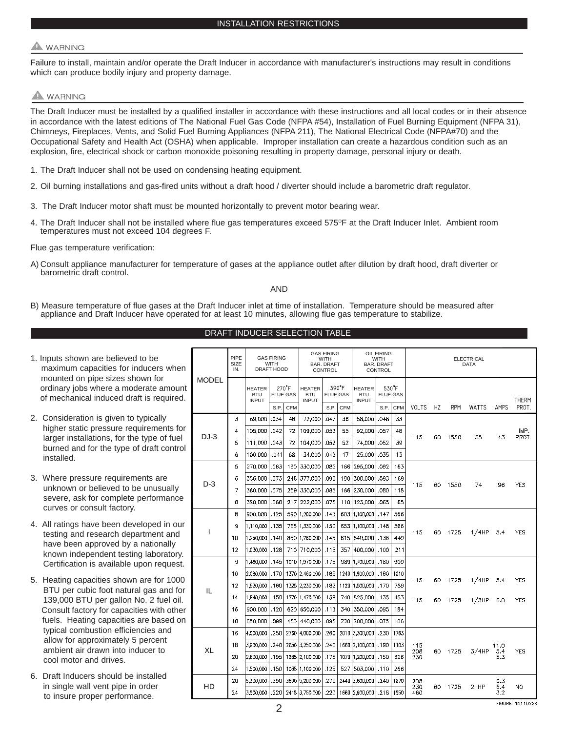# **WARNING**

Failure to install, maintain and/or operate the Draft Inducer in accordance with manufacturer's instructions may result in conditions which can produce bodily injury and property damage.

# **A** WARNING

The Draft Inducer must be installed by a qualified installer in accordance with these instructions and all local codes or in their absence in accordance with the latest editions of The National Fuel Gas Code (NFPA #54), Installation of Fuel Burning Equipment (NFPA 31), Chimneys, Fireplaces, Vents, and Solid Fuel Burning Appliances (NFPA 211), The National Electrical Code (NFPA#70) and the Occupational Safety and Health Act (OSHA) when applicable. Improper installation can create a hazardous condition such as an explosion, fire, electrical shock or carbon monoxide poisoning resulting in property damage, personal injury or death.

- 1. The Draft Inducer shall not be used on condensing heating equipment.
- 2. Oil burning installations and gas-fired units without a draft hood / diverter should include a barometric draft regulator.
- 3. The Draft Inducer motor shaft must be mounted horizontally to prevent motor bearing wear.
- 4. The Draft Inducer shall not be installed where flue gas temperatures exceed 575°F at the Draft Inducer Inlet. Ambient room temperatures must not exceed 104 degrees F.

Flue gas temperature verification:

A) Consult appliance manufacturer for temperature of gases at the appliance outlet after dilution by draft hood, draft diverter or barometric draft control.

### AND

DRAFT INDUCER SELECTION TABLE

B) Measure temperature of flue gases at the Draft Inducer inlet at time of installation. Temperature should be measured after appliance and Draft Inducer have operated for at least 10 minutes, allowing flue gas temperature to stabilize.

| o be<br>ucers when                                    |                  | PIPE<br>SIZE<br>IN.                         | <b>GAS FIRING</b><br>WITH<br>DRAFT HOOD |              |                                             | <b>GAS FIRING</b><br><b>WITH</b><br><b>BAR, DRAFT</b><br><b>CONTROL</b> |              |                                             | <b>OIL FIRING</b><br>WITH<br><b>BAR. DRAFT</b><br>CONTROL |                 |                  | <b>ELECTRICAL</b><br><b>DATA</b> |            |         |              |                    |                  |
|-------------------------------------------------------|------------------|---------------------------------------------|-----------------------------------------|--------------|---------------------------------------------|-------------------------------------------------------------------------|--------------|---------------------------------------------|-----------------------------------------------------------|-----------------|------------------|----------------------------------|------------|---------|--------------|--------------------|------------------|
| wn for<br><b>MODEL</b><br>rate amount<br>is required. |                  | <b>HEATER</b><br><b>BTU</b><br><b>INPUT</b> | 270F<br><b>FLUE GAS</b>                 |              | <b>HEATER</b><br><b>BTU</b><br><b>INPUT</b> | 390°F<br><b>FLUE GAS</b>                                                |              | <b>HEATER</b><br><b>BTU</b><br><b>INPUT</b> | <b>FLUE GAS</b>                                           | $530^{\circ}$ F | <b>VOLTS</b>     | HZ                               | <b>RPM</b> |         | AMPS         | THERM<br>PROT.     |                  |
| pically                                               |                  | 3                                           | 69,000                                  | S.P.<br>.034 | <b>CFM</b><br>48                            | 72,000                                                                  | S.P.<br>.047 | <b>CFM</b><br>36                            | 58,000                                                    | S.P.<br>.048    | <b>CFM</b><br>33 |                                  |            |         | <b>WATTS</b> |                    |                  |
| irements for                                          |                  | 4                                           | 105,000                                 | .042         | 72                                          | 109,000                                                                 | .053         | 55                                          | 92,000                                                    | .057            | 48               |                                  |            |         |              |                    | IMP.             |
| type of fuel                                          | $DJ-3$           | 5                                           | 111,000                                 | .043         | 72                                          | 104,000                                                                 | .052         | 52                                          | 74,000                                                    | .052            | 39               | 115                              | 60         | 1550    | 35           | .43                | PROT.            |
| draft control                                         |                  | 6                                           | 100,000                                 | .041         | 68                                          | 34.000                                                                  | .042         | 17                                          | 25,000                                                    | .035            | 13               |                                  |            |         |              |                    |                  |
|                                                       |                  | 5                                           | 270,000                                 | .063         | 190                                         | 330,000                                                                 | .085         | 166                                         | 295,000                                                   | .092            | 163              |                                  |            |         |              |                    |                  |
| nts are                                               |                  | 6                                           | 356,000                                 | .073         | 246                                         | 377,000                                                                 | .090         | 190                                         | 300,000                                                   | .093            | 169              |                                  |            |         |              |                    |                  |
| unusually                                             | $D-3$            | 7                                           | 360,000                                 | .075         |                                             | 259 330,000                                                             | .085         | 166                                         | 230,000                                                   | .080            | 118              | 115                              | 60         | 1550    | 74           | .96                | <b>YES</b>       |
| erformance                                            | 8                | 320,000                                     | .068                                    |              | 217 222,000                                 | .075                                                                    | 110          | 123,000                                     | .065                                                      | 65              |                  |                                  |            |         |              |                    |                  |
|                                                       |                  | 8                                           | 900,000                                 | .125         | 590                                         | 1,200,000                                                               | .143         | 603                                         | 1,100,000                                                 | .147            | 566              |                                  |            |         |              |                    |                  |
|                                                       | oped in our<br>ı | 9                                           | 1,110,000 1.135                         |              |                                             | 765 1.330,000                                                           | .150         | 653                                         | 1.100.000 .148                                            |                 | 566              |                                  |            |         |              |                    |                  |
| tment and                                             |                  | 10                                          | 1,250,000 140                           |              |                                             | 850 1,260,000 145                                                       |              |                                             | 615 840,000 136                                           |                 | 440              | 115                              | 60         | 1725    | 1/4HP        | 5.4                | <b>YES</b>       |
| ationally                                             |                  | 12                                          | 1,030,000 128                           |              |                                             | 710 710,000 115                                                         |              | 357                                         | 400,000 100                                               |                 | 211              |                                  |            |         |              |                    |                  |
| laboratory.                                           |                  | 9                                           | 1.460.000 1.145                         |              |                                             | 1010 1.970,000 1.75                                                     |              | 989                                         | 1,700,000 .180                                            |                 | 900              |                                  |            |         |              |                    |                  |
| on request.                                           |                  | 10                                          | 2,080,000                               | .170         |                                             | 1370 2,460,000                                                          | .185         | 1240                                        | 1,900,000                                                 | .180            | 1010             |                                  |            |         |              |                    |                  |
| are for 1000                                          |                  | 12                                          | 1,920,000                               | .160         |                                             | 1325 2,230,000                                                          | .182         | 1120                                        | 1,500,000 170                                             |                 | 789              | 115                              | 60         | 1725    | 1/4HP        | 5.4                | <b>YES</b>       |
| gas and for<br>ง. 2 fuel oil.                         | IL               | 14                                          | 1,840,000                               | .159         |                                             | 1270 1.470,000                                                          | .158         |                                             | 740 825,000 135                                           |                 | 453              | 115                              |            | 60 1725 | 1/3HP        | 6.0                | <b>YES</b>       |
| s with other                                          |                  | 16                                          | 900,000 120                             |              |                                             | 620 650,000 113                                                         |              | 340                                         | 350,000                                                   | .095            | 184              |                                  |            |         |              |                    |                  |
| re based on                                           |                  | 18                                          | 650,000                                 | .099         |                                             | 450 440,000                                                             | .095         | 220                                         | 200,000                                                   | .075            | 106              |                                  |            |         |              |                    |                  |
| cies and                                              |                  | 16                                          | 4,000,000                               | .250         |                                             | 2760 4,000,000                                                          | .260         |                                             | 2010 3,300,000                                            | .230            | 1763             |                                  |            |         |              |                    |                  |
| ercent                                                |                  | 18                                          | 3,900,000                               | .240         |                                             | 2650 3,250,000                                                          | .240         |                                             | 1660 2,100,000                                            | .190            | 1103             | 115                              |            |         |              | 11.0<br>5.4<br>5.3 | <b>YES</b>       |
| ıcer to                                               | <b>XL</b>        | 20                                          | 2.800.000                               | .195         |                                             | 1935 2.100.000                                                          | .175         | 1079                                        | 1.200.000                                                 | .150            | 626              | 208<br>230                       |            | 60 1725 | 3/4HP        |                    |                  |
|                                                       |                  | 24                                          | 1,500,000                               | .150         |                                             | 1035 1.100,000                                                          | .125         | 527                                         | 503,000                                                   | .110            | 266              |                                  |            |         |              |                    |                  |
| stalled                                               | HD               | 20                                          | 5,300,000                               | .290         |                                             | 3690 5,200,000                                                          | .270         | 2440                                        | 3,600,000                                                 | .240            | 1870             | 208                              |            |         |              | 6.3                |                  |
| rder<br>ce.                                           |                  | 24                                          | 3.500.000                               |              |                                             | .220 2415 3,750,000                                                     | .220         |                                             | 1660 2,900,000                                            | .218            | 1550             | 230<br>460                       |            | 60 1725 | $2$ HP       | 6.4<br>3.2         | NO.              |
|                                                       |                  |                                             |                                         |              |                                             |                                                                         |              |                                             |                                                           |                 |                  |                                  |            |         |              |                    | EICHIDE 1011099K |

- 1. Inputs shown are believed to maximum capacities for ind mounted on pipe sizes show ordinary jobs where a moder of mechanical induced draft
- 2. Consideration is given to ty higher static pressure requi larger installations, for the t burned and for the type of installed.
- 3. Where pressure requirement unknown or believed to be severe, ask for complete pe curves or consult factory.
- 4. All ratings have been devel testing and research depart have been approved by a r known independent testing Certification is available up
- 5. Heating capacities shown a BTU per cubic foot natural 139,000 BTU per gallon No. Consult factory for capacitie fuels. Heating capacities are typical combustion efficiend allow for approximately 5 p ambient air drawn into indu cool motor and drives.
- 6. Draft Inducers should be in: in single wall vent pipe in o to insure proper performan

2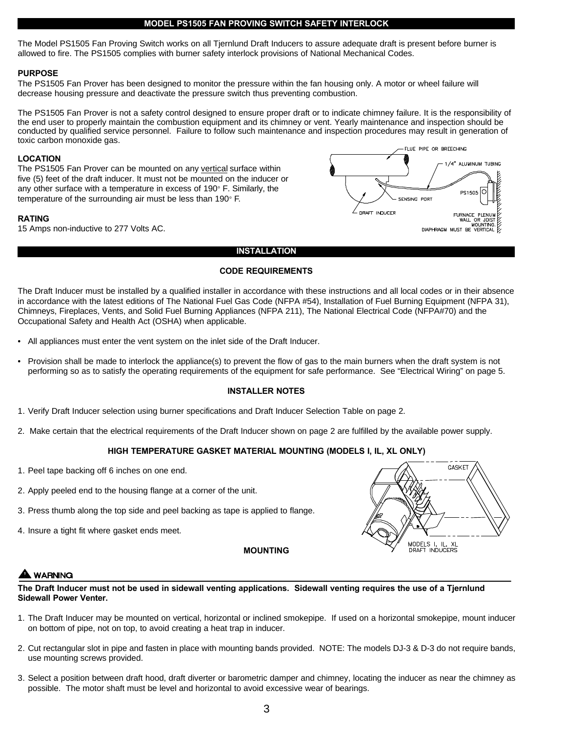# **MODEL PS1505 FAN PROVING SWITCH SAFETY INTERLOCK**

The Model PS1505 Fan Proving Switch works on all Tjernlund Draft Inducers to assure adequate draft is present before burner is allowed to fire. The PS1505 complies with burner safety interlock provisions of National Mechanical Codes.

# **PURPOSE**

The PS1505 Fan Prover has been designed to monitor the pressure within the fan housing only. A motor or wheel failure will decrease housing pressure and deactivate the pressure switch thus preventing combustion.

The PS1505 Fan Prover is not a safety control designed to ensure proper draft or to indicate chimney failure. It is the responsibility of the end user to properly maintain the combustion equipment and its chimney or vent. Yearly maintenance and inspection should be conducted by qualified service personnel. Failure to follow such maintenance and inspection procedures may result in generation of toxic carbon monoxide gas.

# **LOCATION**

The PS1505 Fan Prover can be mounted on any vertical surface within five (5) feet of the draft inducer. It must not be mounted on the inducer or any other surface with a temperature in excess of  $190^\circ$  F. Similarly, the temperature of the surrounding air must be less than  $190^\circ$  F.

# **RATING**



# 15 Amps non-inductive to 277 Volts AC.

# **INSTALLATION**

# **CODE REQUIREMENTS**

The Draft Inducer must be installed by a qualified installer in accordance with these instructions and all local codes or in their absence in accordance with the latest editions of The National Fuel Gas Code (NFPA #54), Installation of Fuel Burning Equipment (NFPA 31), Chimneys, Fireplaces, Vents, and Solid Fuel Burning Appliances (NFPA 211), The National Electrical Code (NFPA#70) and the Occupational Safety and Health Act (OSHA) when applicable.

- All appliances must enter the vent system on the inlet side of the Draft Inducer.
- Provision shall be made to interlock the appliance(s) to prevent the flow of gas to the main burners when the draft system is not performing so as to satisfy the operating requirements of the equipment for safe performance. See "Electrical Wiring" on page 5.

# **INSTALLER NOTES**

- 1. Verify Draft Inducer selection using burner specifications and Draft Inducer Selection Table on page 2.
- 2. Make certain that the electrical requirements of the Draft Inducer shown on page 2 are fulfilled by the available power supply.

# **HIGH TEMPERATURE GASKET MATERIAL MOUNTING (MODELS I, IL, XL ONLY)**

- 1. Peel tape backing off 6 inches on one end.
- 2. Apply peeled end to the housing flange at a corner of the unit.
- 3. Press thumb along the top side and peel backing as tape is applied to flange.
- 4. Insure a tight fit where gasket ends meet.

# **MOUNTING**



# **WARNING**

**The Draft Inducer must not be used in sidewall venting applications. Sidewall venting requires the use of a Tjernlund Sidewall Power Venter.**

- 1. The Draft Inducer may be mounted on vertical, horizontal or inclined smokepipe. If used on a horizontal smokepipe, mount inducer on bottom of pipe, not on top, to avoid creating a heat trap in inducer.
- 2. Cut rectangular slot in pipe and fasten in place with mounting bands provided. NOTE: The models DJ-3 & D-3 do not require bands, use mounting screws provided.
- 3. Select a position between draft hood, draft diverter or barometric damper and chimney, locating the inducer as near the chimney as possible. The motor shaft must be level and horizontal to avoid excessive wear of bearings.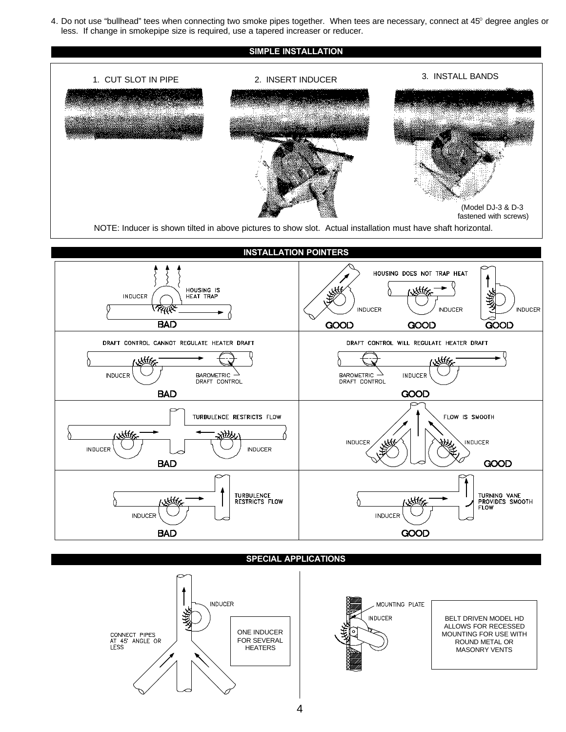4. Do not use "bullhead" tees when connecting two smoke pipes together. When tees are necessary, connect at 45° degree angles or less. If change in smokepipe size is required, use a tapered increaser or reducer.





**SPECIAL APPLICATIONS**



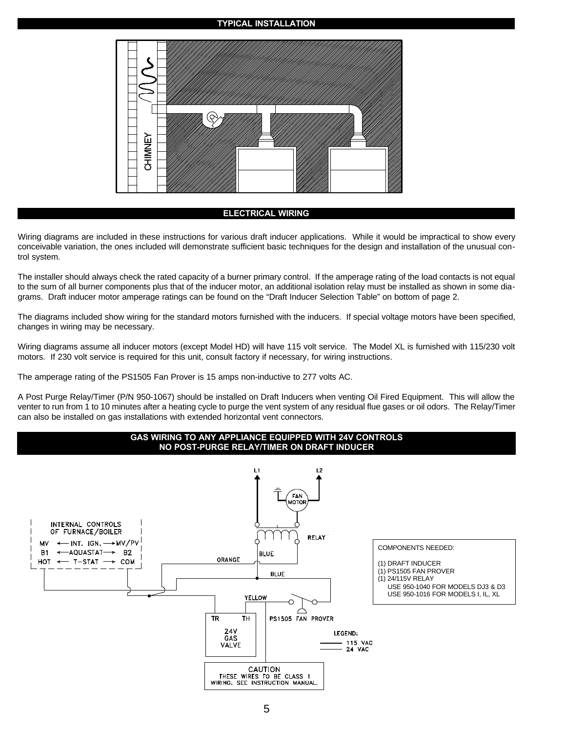### **TYPICAL INSTALLATION**



### **ELECTRICAL WIRING**

Wiring diagrams are included in these instructions for various draft inducer applications. While it would be impractical to show every conceivable variation, the ones included will demonstrate sufficient basic techniques for the design and installation of the unusual control system.

The installer should always check the rated capacity of a burner primary control. If the amperage rating of the load contacts is not equal to the sum of all burner components plus that of the inducer motor, an additional isolation relay must be installed as shown in some diagrams. Draft inducer motor amperage ratings can be found on the "Draft Inducer Selection Table" on bottom of page 2.

The diagrams included show wiring for the standard motors furnished with the inducers. If special voltage motors have been specified, changes in wiring may be necessary.

Wiring diagrams assume all inducer motors (except Model HD) will have 115 volt service. The Model XL is furnished with 115/230 volt motors. If 230 volt service is required for this unit, consult factory if necessary, for wiring instructions.

The amperage rating of the PS1505 Fan Prover is 15 amps non-inductive to 277 volts AC.

A Post Purge Relay/Timer (P/N 950-1067) should be installed on Draft Inducers when venting Oil Fired Equipment. This will allow the venter to run from 1 to 10 minutes after a heating cycle to purge the vent system of any residual flue gases or oil odors. The Relay/Timer can also be installed on gas installations with extended horizontal vent connectors.

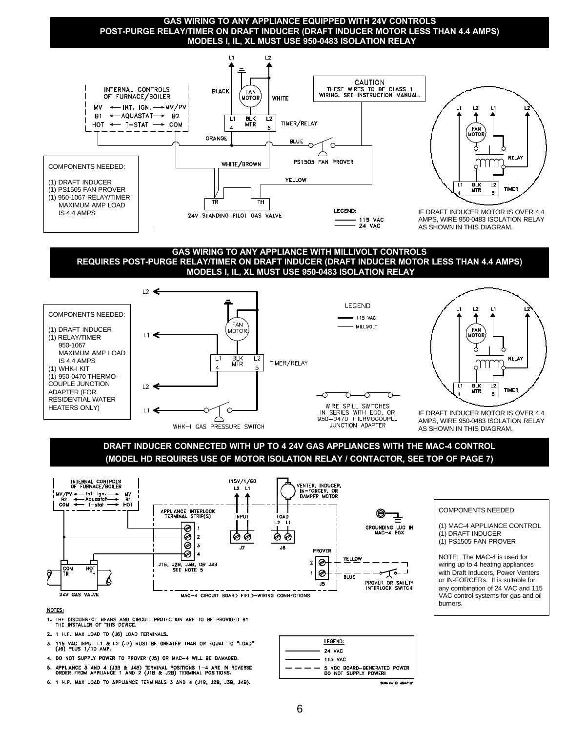**GAS WIRING TO ANY APPLIANCE EQUIPPED WITH 24V CONTROLS POST-PURGE RELAY/TIMER ON DRAFT INDUCER (DRAFT INDUCER MOTOR LESS THAN 4.4 AMPS) MODELS I, IL, XL MUST USE 950-0483 ISOLATION RELAY**



### **GAS WIRING TO ANY APPLIANCE WITH MILLIVOLT CONTROLS REQUIRES POST-PURGE RELAY/TIMER ON DRAFT INDUCER (DRAFT INDUCER MOTOR LESS THAN 4.4 AMPS) MODELS I, IL, XL MUST USE 950-0483 ISOLATION RELAY**



**DRAFT INDUCER CONNECTED WITH UP TO 4 24V GAS APPLIANCES WITH THE MAC-4 CONTROL (MODEL HD REQUIRES USE OF MOTOR ISOLATION RELAY / CONTACTOR, SEE TOP OF PAGE 7)**



# COMPONENTS NEEDED:

(1) MAC-4 APPLIANCE CONTROL (1) DRAFT INDUCER (1) PS1505 FAN PROVER

NOTE: The MAC-4 is used for wiring up to 4 heating appliances with Draft Inducers, Power Venters or IN-FORCERs. It is suitable for any combination of 24 VAC and 115 VAC control systems for gas and oil burners.

#### NOTES:

- THE DISCONNECT MEANS AND CIRCUIT PROTECTION ARE TO BE PROVIDED BY THE INSTALLER OF THIS DEVICE.
- 2. 1 H.P. MAX LOAD TO (J6) LOAD TERMINALS.
- 3. 115 VAC INPUT L1 & L2 (J7) MUST BE GREATER THAN OR EQUAL TO "LOAD"<br>(J6) PLUS 1/10 AMP.
- 4. DO NOT SUPPLY POWER TO PROVER (J5) OR MAC-4 WILL BE DAMAGED.
- 5. APPLIANCE 3 AND 4 (J3B & J4B) TERMINAL POSITIONS 1-4 ARE IN REVERSE ORDER FROM APPLIANCE 1 AND 2 (J1B & J2B) TERMINAL POSITIONS.
- 6. 1 H.P. MAX LOAD TO APPLIANCE TERMINALS 3 AND 4 (J1B, J2B, J3B, J4B).



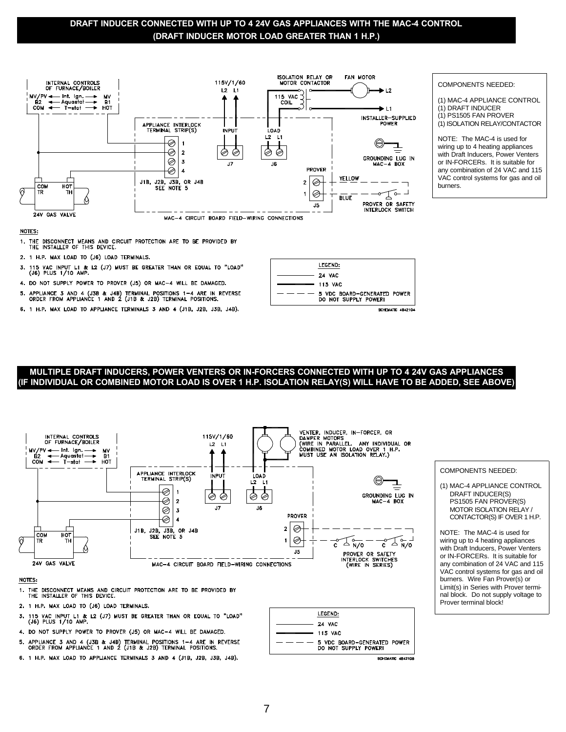# **DRAFT INDUCER CONNECTED WITH UP TO 4 24V GAS APPLIANCES WITH THE MAC-4 CONTROL (DRAFT INDUCER MOTOR LOAD GREATER THAN 1 H.P.)**



#### NOTES:

THE DISCONNECT MEANS AND CIRCUIT PROTECTION ARE TO BE PROVIDED BY THE INSTALLER OF THIS DEVICE.  $1.$ 

- 2. 1 H.P. MAX LOAD TO (J6) LOAD TERMINALS.
- 115 VAC INPUT L1 & L2 (J7) MUST BE GREATER THAN OR EQUAL TO "LOAD"<br>(J6) PLUS 1/10 AMP.
- 4. DO NOT SUPPLY POWER TO PROVER (J5) OR MAC-4 WILL BE DAMAGED.
- 5. APPLIANCE 3 AND 4 (J3B & J4B) TERMINAL POSITIONS 1-4 ARE IN REVERSE ORDER FROM APPLIANCE 1 AND 2 (J1B & J2B) TERMINAL POSITIONS.
- 6. 1 H.P. MAX LOAD TO APPLIANCE TERMINALS 3 AND 4 (J1B, J2B, J3B, J4B).

|                           | LEGEND:                                             |  |  |  |
|---------------------------|-----------------------------------------------------|--|--|--|
|                           | <b>24 VAC</b>                                       |  |  |  |
| $\longrightarrow$ 115 VAC |                                                     |  |  |  |
|                           | 5 VDC BOARD-GENERATED POWER<br>DO NOT SUPPLY POWER! |  |  |  |
| <b>BOURNATH ABASINA</b>   |                                                     |  |  |  |

# **MULTIPLE DRAFT INDUCERS, POWER VENTERS OR IN-FORCERS CONNECTED WITH UP TO 4 24V GAS APPLIANCES (IF INDIVIDUAL OR COMBINED MOTOR LOAD IS OVER 1 H.P. ISOLATION RELAY(S) WILL HAVE TO BE ADDED, SEE ABOVE)**



- 115 VAC INPUT L1 & L2 (J7) MUST BE GREATER THAN OR EQUAL TO "LOAD"<br>(J6) PLUS 1/10 AMP. 3.
- 4. DO NOT SUPPLY POWER TO PROVER (J5) OR MAC-4 WILL BE DAMAGED.
- 5. APPLIANCE 3 AND 4 (J3B & J4B) TERMINAL POSITIONS 1-4 ARE IN REVERSE ORDER FROM APPLIANCE 1 AND 2 (J1B & J2B) TERMINAL POSITIONS.
- 6. 1 H.P. MAX LOAD TO APPLIANCE TERMINALS 3 AND 4 (J1B, J2B, J3B, J4B).



#### COMPONENTS NEEDED:

(1) MAC-4 APPLIANCE CONTROL (1) DRAFT INDUCER (1) PS1505 FAN PROVER (1) ISOLATION RELAY/CONTACTOR

NOTE: The MAC-4 is used for wiring up to 4 heating appliances with Draft Inducers, Power Venters or IN-FORCERs. It is suitable for any combination of 24 VAC and 115 VAC control systems for gas and oil burners.

#### COMPONENTS NEEDED:

(1) MAC-4 APPLIANCE CONTROL DRAFT INDUCER(S) PS1505 FAN PROVER(S) MOTOR ISOLATION RELAY / CONTACTOR(S) IF OVER 1 H.P.

NOTE: The MAC-4 is used for wiring up to 4 heating appliances with Draft Inducers, Power Venters or IN-FORCERs. It is suitable for any combination of 24 VAC and 115 VAC control systems for gas and oil burners. Wire Fan Prover(s) or Limit(s) in Series with Prover terminal block. Do not supply voltage to Prover terminal block!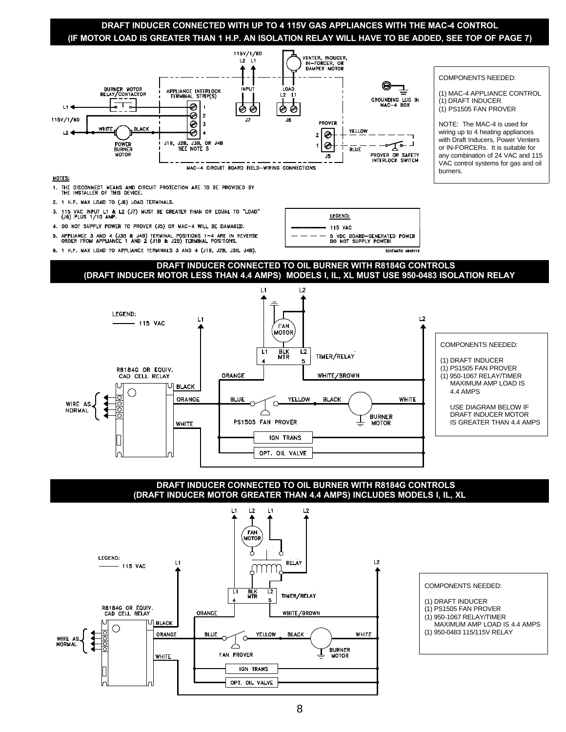# **DRAFT INDUCER CONNECTED WITH UP TO 4 115V GAS APPLIANCES WITH THE MAC-4 CONTROL (IF MOTOR LOAD IS GREATER THAN 1 H.P. AN ISOLATION RELAY WILL HAVE TO BE ADDED, SEE TOP OF PAGE 7)**

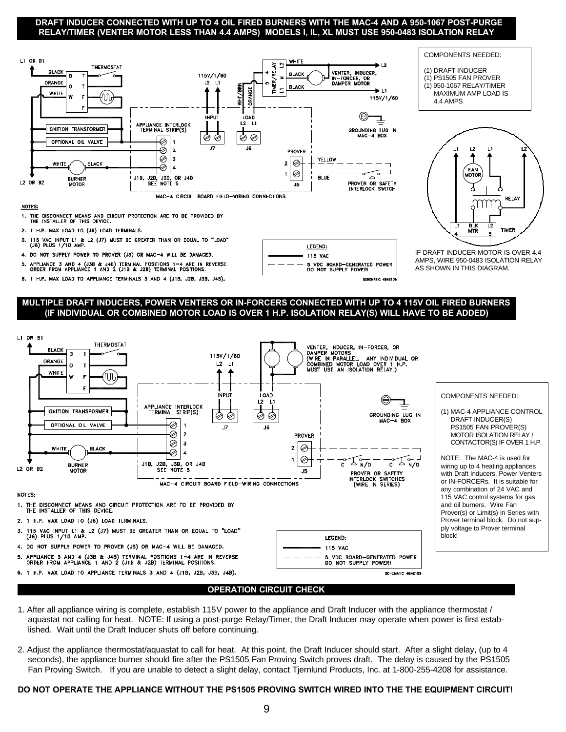# **DRAFT INDUCER CONNECTED WITH UP TO 4 OIL FIRED BURNERS WITH THE MAC-4 AND A 950-1067 POST-PURGE RELAY/TIMER (VENTER MOTOR LESS THAN 4.4 AMPS) MODELS I, IL, XL MUST USE 950-0483 ISOLATION RELAY**



#### NOTES:

1. THE DISCONNECT MEANS AND CIRCUIT PROTECTION ARE TO BE PROVIDED BY THE INSTALLER OF THIS DEVICE.

- 2. 1 H.P. MAX LOAD TO (J6) LOAD TERMINALS.
- 115 VAC INPUT L1 & L2 (J7) MUST BE GREATER THAN OR EQUAL TO "LOAD"<br>(J6) PLUS 1/10 AMP.
- 4. DO NOT SUPPLY POWER TO PROVER (J5) OR MAC-4 WILL BE DAMAGED.
- APPLIANCE 3 AND 4 (J3B & J4B) TERMINAL POSITIONS 1-4 ARE IN REVERSE<br>ORDER FROM APPLIANCE 1 AND 2 (J1B & J2B) TERMINAL POSITIONS.
- 6. 1 H.P. MAX LOAD TO APPLIANCE TERMINALS 3 AND 4 (J1B, J2B, J3B, J4B).

LEGEND:

115 VAC

5 VDC BOARD-GENERATED POWER<br>DO NOT SUPPLY POWERL

# **MULTIPLE DRAFT INDUCERS, POWER VENTERS OR IN-FORCERS CONNECTED WITH UP TO 4 115V OIL FIRED BURNERS (IF INDIVIDUAL OR COMBINED MOTOR LOAD IS OVER 1 H.P. ISOLATION RELAY(S) WILL HAVE TO BE ADDED)**



6. 1 H.P. MAX LOAD TO APPLIANCE TERMINALS 3 AND 4 (J1B, J2B, J3B, J4B).

**SCHEMATIC 4842109** 

# (1) MAC-4 APPLIANCE CONTROL

IF DRAFT INDUCER MOTOR IS OVER 4.4 AMPS, WIRE 950-0483 ISOLATION RELAY AS SHOWN IN THIS DIAGRAM.

mm

RELAY

FAN<br>MOTO

 $\overline{11}$ **BLK**<br>MTR  $L2$ **TIMER** 

COMPONENTS NEEDED: (1) DRAFT INDUCER (1) PS1505 FAN PROVER (1) 950-1067 RELAY/TIMER MAXIMUM AMP LOAD IS

4.4 AMPS

DRAFT INDUCER(S) PS1505 FAN PROVER(S) MOTOR ISOLATION RELAY / CONTACTOR(S) IF OVER 1 H.P.

NOTE: The MAC-4 is used for wiring up to 4 heating appliances with Draft Inducers, Power Venters or IN-FORCERs. It is suitable for any combination of 24 VAC and 115 VAC control systems for gas and oil burners. Wire Fan Prover(s) or Limit(s) in Series with Prover terminal block. Do not supply voltage to Prover terminal

# **OPERATION CIRCUIT CHECK**

- 1. After all appliance wiring is complete, establish 115V power to the appliance and Draft Inducer with the appliance thermostat / aquastat not calling for heat. NOTE: If using a post-purge Relay/Timer, the Draft Inducer may operate when power is first established. Wait until the Draft Inducer shuts off before continuing.
- 2. Adjust the appliance thermostat/aquastat to call for heat. At this point, the Draft Inducer should start. After a slight delay, (up to 4 seconds), the appliance burner should fire after the PS1505 Fan Proving Switch proves draft. The delay is caused by the PS1505 Fan Proving Switch. If you are unable to detect a slight delay, contact Tjernlund Products, Inc. at 1-800-255-4208 for assistance.

# **DO NOT OPERATE THE APPLIANCE WITHOUT THE PS1505 PROVING SWITCH WIRED INTO THE THE EQUIPMENT CIRCUIT!**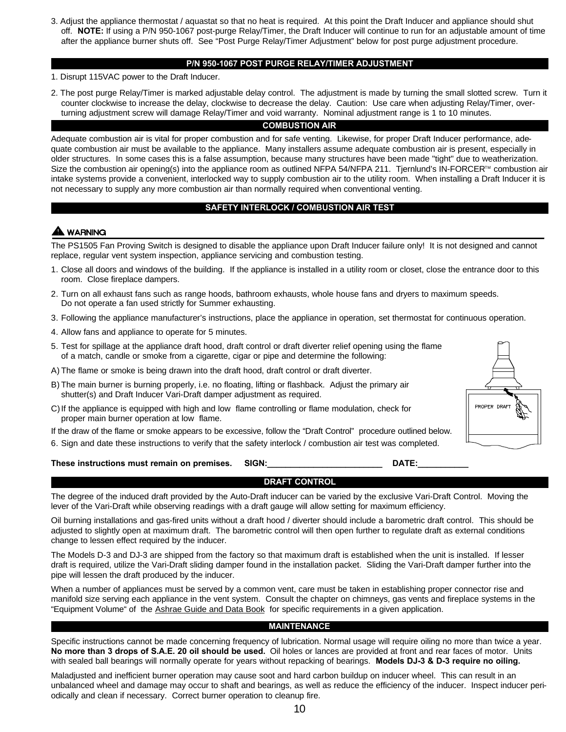3. Adjust the appliance thermostat / aquastat so that no heat is required. At this point the Draft Inducer and appliance should shut off. **NOTE:** If using a P/N 950-1067 post-purge Relay/Timer, the Draft Inducer will continue to run for an adjustable amount of time after the appliance burner shuts off. See "Post Purge Relay/Timer Adjustment" below for post purge adjustment procedure.

# **P/N 950-1067 POST PURGE RELAY/TIMER ADJUSTMENT**

- 1. Disrupt 115VAC power to the Draft Inducer.
- 2. The post purge Relay/Timer is marked adjustable delay control. The adjustment is made by turning the small slotted screw. Turn it counter clockwise to increase the delay, clockwise to decrease the delay. Caution: Use care when adjusting Relay/Timer, overturning adjustment screw will damage Relay/Timer and void warranty. Nominal adjustment range is 1 to 10 minutes.

# **COMBUSTION AIR**

Adequate combustion air is vital for proper combustion and for safe venting. Likewise, for proper Draft Inducer performance, adequate combustion air must be available to the appliance. Many installers assume adequate combustion air is present, especially in older structures. In some cases this is a false assumption, because many structures have been made "tight" due to weatherization. Size the combustion air opening(s) into the appliance room as outlined NFPA 54/NFPA 211. Tiernlund's IN-FORCER™ combustion air intake systems provide a convenient, interlocked way to supply combustion air to the utility room. When installing a Draft Inducer it is not necessary to supply any more combustion air than normally required when conventional venting.

# **SAFETY INTERLOCK / COMBUSTION AIR TEST**

# **WARNING**

The PS1505 Fan Proving Switch is designed to disable the appliance upon Draft Inducer failure only! It is not designed and cannot replace, regular vent system inspection, appliance servicing and combustion testing.

- 1. Close all doors and windows of the building. If the appliance is installed in a utility room or closet, close the entrance door to this room. Close fireplace dampers.
- 2. Turn on all exhaust fans such as range hoods, bathroom exhausts, whole house fans and dryers to maximum speeds. Do not operate a fan used strictly for Summer exhausting.
- 3. Following the appliance manufacturer's instructions, place the appliance in operation, set thermostat for continuous operation.
- 4. Allow fans and appliance to operate for 5 minutes.
- 5. Test for spillage at the appliance draft hood, draft control or draft diverter relief opening using the flame of a match, candle or smoke from a cigarette, cigar or pipe and determine the following:
- A) The flame or smoke is being drawn into the draft hood, draft control or draft diverter.
- B) The main burner is burning properly, i.e. no floating, lifting or flashback. Adjust the primary air shutter(s) and Draft Inducer Vari-Draft damper adjustment as required.
- C)If the appliance is equipped with high and low flame controlling or flame modulation, check for proper main burner operation at low flame.
- If the draw of the flame or smoke appears to be excessive, follow the "Draft Control" procedure outlined below.
- 6. Sign and date these instructions to verify that the safety interlock / combustion air test was completed.

# **These instructions must remain on premises. SIGN:\_\_\_\_\_\_\_\_\_\_\_\_\_\_\_\_\_\_\_\_\_\_\_\_\_ DATE:\_\_\_\_\_\_\_\_\_\_\_**

PROPER DRAF

# **DRAFT CONTROL**

The degree of the induced draft provided by the Auto-Draft inducer can be varied by the exclusive Vari-Draft Control. Moving the lever of the Vari-Draft while observing readings with a draft gauge will allow setting for maximum efficiency.

Oil burning installations and gas-fired units without a draft hood / diverter should include a barometric draft control. This should be adjusted to slightly open at maximum draft. The barometric control will then open further to regulate draft as external conditions change to lessen effect required by the inducer.

The Models D-3 and DJ-3 are shipped from the factory so that maximum draft is established when the unit is installed. If lesser draft is required, utilize the Vari-Draft sliding damper found in the installation packet. Sliding the Vari-Draft damper further into the pipe will lessen the draft produced by the inducer.

When a number of appliances must be served by a common vent, care must be taken in establishing proper connector rise and manifold size serving each appliance in the vent system. Consult the chapter on chimneys, gas vents and fireplace systems in the "Equipment Volume" of the Ashrae Guide and Data Book for specific requirements in a given application.

# **MAINTENANCE**

Specific instructions cannot be made concerning frequency of lubrication. Normal usage will require oiling no more than twice a year. **No more than 3 drops of S.A.E. 20 oil should be used.** Oil holes or lances are provided at front and rear faces of motor. Units with sealed ball bearings will normally operate for years without repacking of bearings. **Models DJ-3 & D-3 require no oiling.**

Maladjusted and inefficient burner operation may cause soot and hard carbon buildup on inducer wheel. This can result in an unbalanced wheel and damage may occur to shaft and bearings, as well as reduce the efficiency of the inducer. Inspect inducer periodically and clean if necessary. Correct burner operation to cleanup fire.